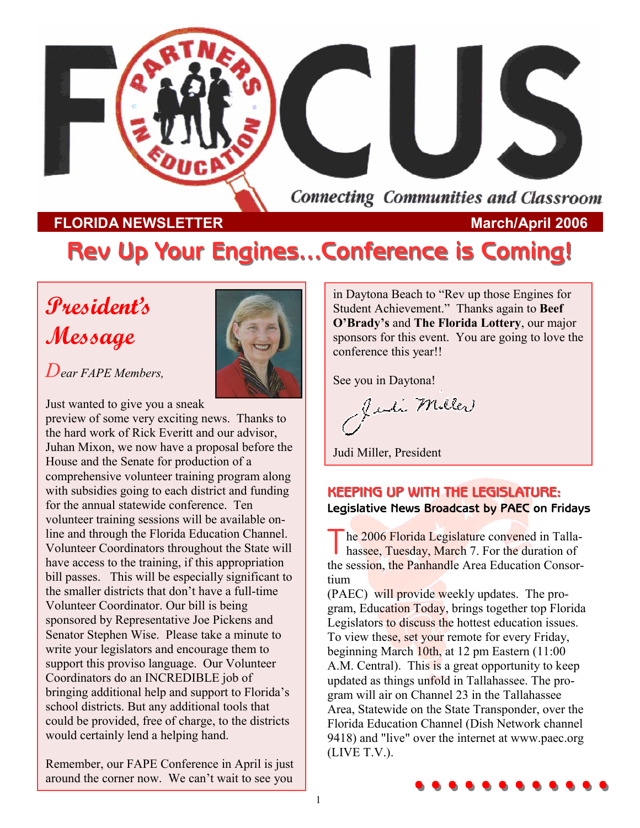

### **FLORIDA NEWSLETTER MARKET AND APPROXIMATE SERVICE STATES AND APPROXIMATE SERVICE STATES AND APPROXIMATE STATES**

# **Rev Up Your Engines... Conference is Coming!**

# **President's Message**



*Dear FAPE Members,* 

Just wanted to give you a sneak

preview of some very exciting news. Thanks to the hard work of Rick Everitt and our advisor, Juhan Mixon, we now have a proposal before the House and the Senate for production of a comprehensive volunteer training program along with subsidies going to each district and funding for the annual statewide conference. Ten volunteer training sessions will be available online and through the Florida Education Channel. Volunteer Coordinators throughout the State will have access to the training, if this appropriation bill passes. This will be especially significant to the smaller districts that don't have a full-time Volunteer Coordinator. Our bill is being sponsored by Representative Joe Pickens and Senator Stephen Wise. Please take a minute to write your legislators and encourage them to support this proviso language. Our Volunteer Coordinators do an INCREDIBLE job of bringing additional help and support to Florida's school districts. But any additional tools that could be provided, free of charge, to the districts would certainly lend a helping hand.

Remember, our FAPE Conference in April is just around the corner now. We can't wait to see you **…………**

in Daytona Beach to "Rev up those Engines for Student Achievement." Thanks again to **Beef O'Brady's** and **The Florida Lottery**, our major sponsors for this event. You are going to love the conference this year!!

See you in Daytona!<br>Juni Miller

Judi Miller, President

### **KEEPING UP WITH THE LEGISLATURE KEEPING UP WITH THE LEGISLATURE: Legislative News Broadcast by PAEC on Fridays**

he 2006 Florida Legislature convened in Tallahassee, Tuesday, March 7. For the duration of the session, the Panhandle Area Education Consortium

(PAEC) will provide weekly updates. The program, Education Today, brings together top Florida Legislators to discuss the hottest education issues. To view these, set your remote for every Friday, beginning March 10th, at 12 pm Eastern (11:00 A.M. Central). This is a great opportunity to keep updated as things unfold in Tallahassee. The program will air on Channel 23 in the Tallahassee Area, Statewide on the State Transponder, over the Florida Education Channel (Dish Network channel 9418) and "live" over the internet at www.paec.org (LIVE T.V.).

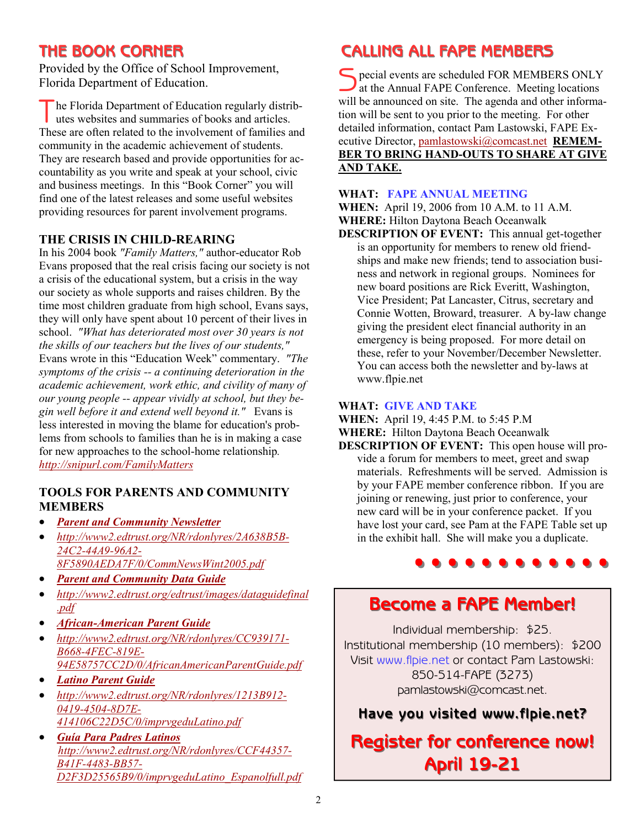# **THE BOOK CORNER THE BOOK CORNER**

Provided by the Office of School Improvement, Florida Department of Education.

he Florida Department of Education regularly distributes websites and summaries of books and articles. These are often related to the involvement of families and community in the academic achievement of students. They are research based and provide opportunities for accountability as you write and speak at your school, civic and business meetings. In this "Book Corner" you will find one of the latest releases and some useful websites providing resources for parent involvement programs.

### **THE CRISIS IN CHILD-REARING**

In his 2004 book *"Family Matters,"* author-educator Rob Evans proposed that the real crisis facing our society is not a crisis of the educational system, but a crisis in the way our society as whole supports and raises children. By the time most children graduate from high school, Evans says, they will only have spent about 10 percent of their lives in school. *"What has deteriorated most over 30 years is not the skills of our teachers but the lives of our students,"*  Evans wrote in this "Education Week" commentary. *"The symptoms of the crisis -- a continuing deterioration in the academic achievement, work ethic, and civility of many of our young people -- appear vividly at school, but they begin well before it and extend well beyond it."* Evans is less interested in moving the blame for education's problems from schools to families than he is in making a case for new approaches to the school-home relationship*. http://snipurl.com/FamilyMatters*

### **TOOLS FOR PARENTS AND COMMUNITY MEMBERS**

- *Parent and Community Newsletter*
- *http://www2.edtrust.org/NR/rdonlyres/2A638B5B-24C2-44A9-96A2- 8F5890AEDA7F/0/CommNewsWint2005.pdf*
- *Parent and Community Data Guide*
- *http://www2.edtrust.org/edtrust/images/dataguidefinal .pdf*
- *African-American Parent Guide*
- *http://www2.edtrust.org/NR/rdonlyres/CC939171- B668-4FEC-819E-94E58757CC2D/0/AfricanAmericanParentGuide.pdf*
- *Latino Parent Guide*
- *http://www2.edtrust.org/NR/rdonlyres/1213B912- 0419-4504-8D7E-414106C22D5C/0/imprvgeduLatino.pdf*
- *Guía Para Padres Latinos http://www2.edtrust.org/NR/rdonlyres/CCF44357- B41F-4483-BB57- D2F3D25565B9/0/imprvgeduLatino\_Espanolfull.pdf*

# **CALLING ALL FAPE MEMBERS CALLING ALL FAPE MEMBERS**

 $\blacksquare$  pecial events are scheduled FOR MEMBERS ONLY at the Annual FAPE Conference. Meeting locations will be announced on site. The agenda and other information will be sent to you prior to the meeting. For other detailed information, contact Pam Lastowski, FAPE Executive Director, pamlastowski@comcast.net **REMEM-BER TO BRING HAND-OUTS TO SHARE AT GIVE AND TAKE.**

#### **WHAT: FAPE ANNUAL MEETING**

**WHEN:** April 19, 2006 from 10 A.M. to 11 A.M. **WHERE:** Hilton Daytona Beach Oceanwalk

**DESCRIPTION OF EVENT:** This annual get-together is an opportunity for members to renew old friendships and make new friends; tend to association business and network in regional groups. Nominees for new board positions are Rick Everitt, Washington, Vice President; Pat Lancaster, Citrus, secretary and Connie Wotten, Broward, treasurer. A by-law change giving the president elect financial authority in an emergency is being proposed. For more detail on these, refer to your November/December Newsletter. You can access both the newsletter and by-laws at www.flpie.net

#### **WHAT: GIVE AND TAKE**

**WHEN:** April 19, 4:45 P.M. to 5:45 P.M **WHERE:** Hilton Daytona Beach Oceanwalk **DESCRIPTION OF EVENT:** This open house will provide a forum for members to meet, greet and swap materials. Refreshments will be served. Admission is by your FAPE member conference ribbon. If you are joining or renewing, just prior to conference, your new card will be in your conference packet. If you have lost your card, see Pam at the FAPE Table set up in the exhibit hall. She will make you a duplicate.

# **Become a FAPE Member! Become a FAPE Member!**

**…………**

Individual membership: \$25. Institutional membership (10 members): \$200 Visit www.flpie.net or contact Pam Lastowski: 850-514-FAPE (3273) pamlastowski@comcast.net.

### **Have you visited www.flpie.net?**

# **Register for conference now! Register for conference now! April 19 April 19-21**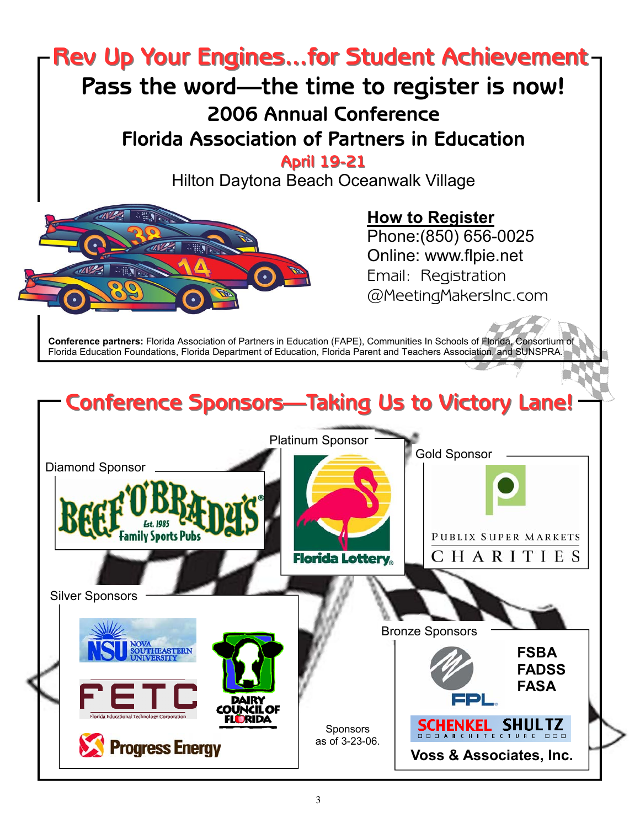